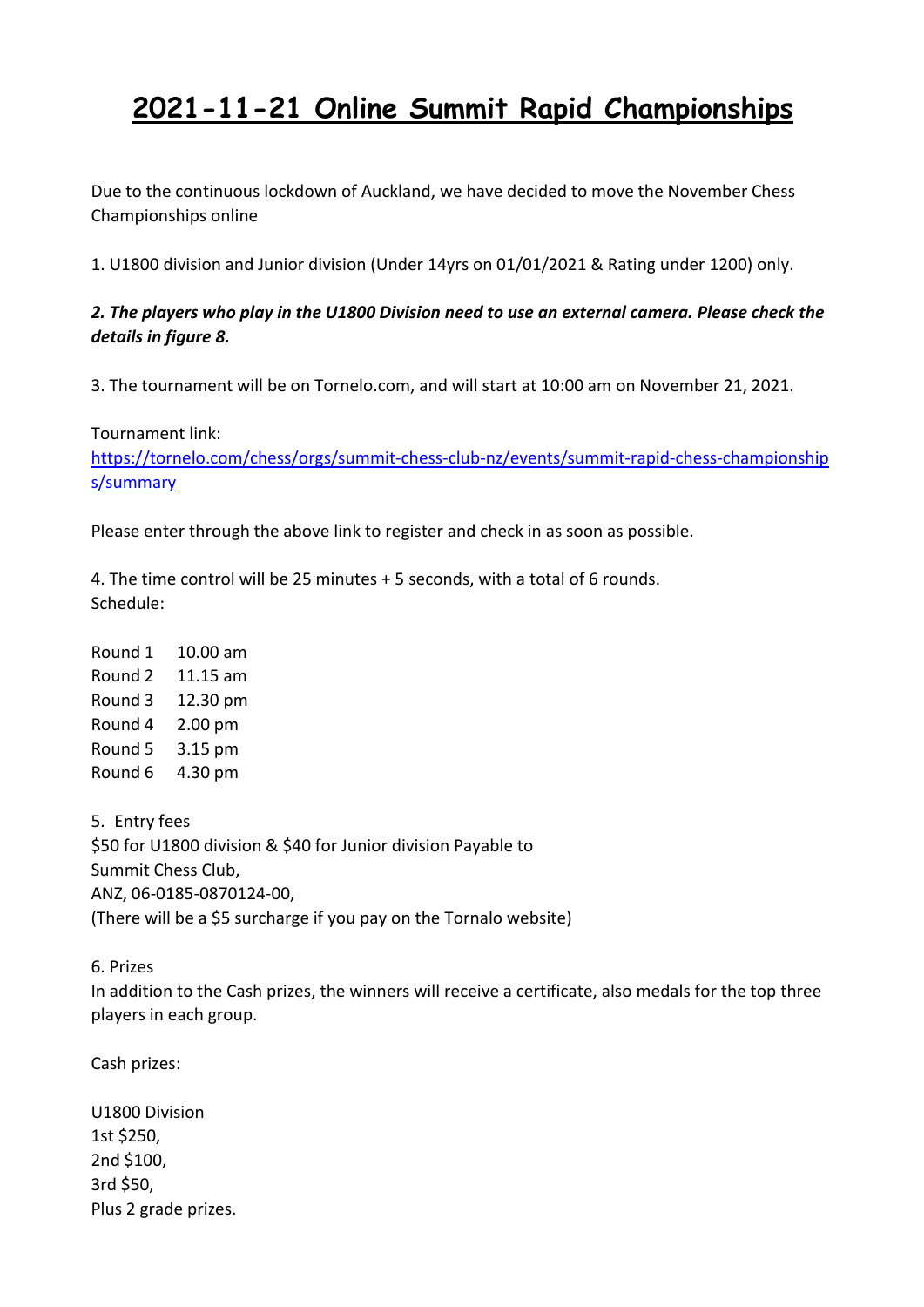# **2021-11-21 Online Summit Rapid Championships**

Due to the continuous lockdown of Auckland, we have decided to move the November Chess Championships online

1. U1800 division and Junior division (Under 14yrs on 01/01/2021 & Rating under 1200) only.

#### *2. The players who play in the U1800 Division need to use an external camera. Please check the details in figure 8.*

3. The tournament will be on Tornelo.com, and will start at 10:00 am on November 21, 2021.

Tournament link:

[https://tornelo.com/chess/orgs/summit-chess-club-nz/events/summit-rapid-chess-championship](https://tornelo.com/chess/orgs/summit-chess-club-nz/events/summit-rapid-chess-championships/summary) s/summary

Please enter through the above link to register and check in as soon as possible.

4. The time control will be 25 minutes + 5 seconds, with a total of 6 rounds. Schedule:

Round 1 10.00 am Round 2 11.15 am Round 3 12.30 pm Round 4 2.00 pm Round 5 3.15 pm Round 6 4.30 pm

5. Entry fees \$50 for U1800 division & \$40 for Junior division Payable to Summit Chess Club, ANZ, 06-0185-0870124-00, (There will be a \$5 surcharge if you pay on the Tornalo website)

6. Prizes

In addition to the Cash prizes, the winners will receive a certificate, also medals for the top three players in each group.

Cash prizes:

U1800 Division 1st \$250, 2nd \$100, 3rd \$50, Plus 2 grade prizes.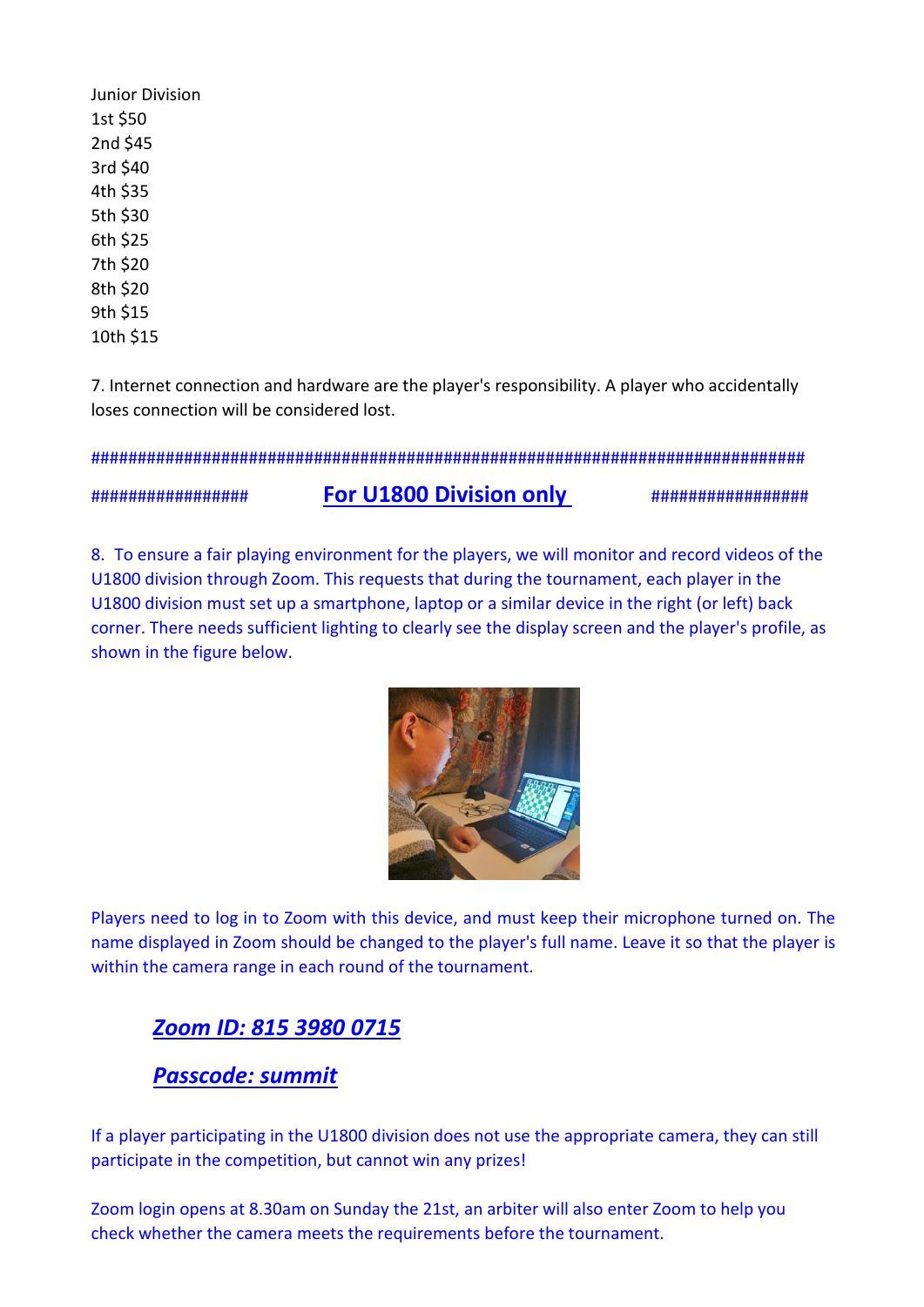Junior Division 1st \$50 2nd \$45 3rd \$40 4th \$35 5th \$30 6th \$25 7th \$20 8th \$20 9th \$15 10th \$15

7. Internet connection and hardware are the player's responsibility. A player who accidentally loses connection will be considered lost.

#############################################################################

#### ################# **For U1800 Division only** #################

8. To ensure a fair playing environment for the players, we will monitor and record videos of the U1800 division through Zoom. This requests that during the tournament, each player in the U1800 division must set up a smartphone, laptop or a similar device in the right (or left) back corner. There needs sufficient lighting to clearly see the display screen and the player's profile, as shown in the figure below.



Players need to log in to Zoom with this device, and must keep their microphone turned on. The name displayed in Zoom should be changed to the player's full name. Leave it so that the playeris within the camera range in each round of the tournament.

## *Zoom ID: 815 3980 0715*

### *Passcode: summit*

If a player participating in the U1800 division does not use the appropriate camera, they can still participate in the competition, but cannot win any prizes!

Zoom login opens at 8.30am on Sunday the 21st, an arbiter will also enter Zoom to help you check whether the camera meets the requirements before the tournament.